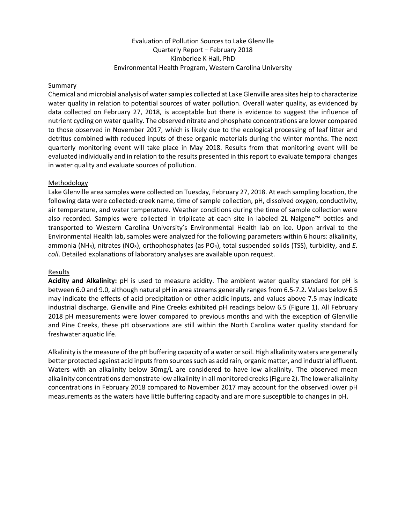# Evaluation of Pollution Sources to Lake Glenville Quarterly Report – February 2018 Kimberlee K Hall, PhD Environmental Health Program, Western Carolina University

### Summary

Chemical and microbial analysis of water samples collected at Lake Glenville area sites help to characterize water quality in relation to potential sources of water pollution. Overall water quality, as evidenced by data collected on February 27, 2018, is acceptable but there is evidence to suggest the influence of nutrient cycling on water quality. The observed nitrate and phosphate concentrations are lower compared to those observed in November 2017, which is likely due to the ecological processing of leaf litter and detritus combined with reduced inputs of these organic materials during the winter months. The next quarterly monitoring event will take place in May 2018. Results from that monitoring event will be evaluated individually and in relation to the results presented in this report to evaluate temporal changes in water quality and evaluate sources of pollution.

### Methodology

Lake Glenville area samples were collected on Tuesday, February 27, 2018. At each sampling location, the following data were collected: creek name, time of sample collection, pH, dissolved oxygen, conductivity, air temperature, and water temperature. Weather conditions during the time of sample collection were also recorded. Samples were collected in triplicate at each site in labeled 2L Nalgene™ bottles and transported to Western Carolina University's Environmental Health lab on ice. Upon arrival to the Environmental Health lab, samples were analyzed for the following parameters within 6 hours: alkalinity, ammonia (NH<sub>3</sub>), nitrates (NO<sub>3</sub>), orthophosphates (as PO<sub>4</sub>), total suspended solids (TSS), turbidity, and *E. coli*. Detailed explanations of laboratory analyses are available upon request.

# Results

**Acidity and Alkalinity:** pH is used to measure acidity. The ambient water quality standard for pH is between 6.0 and 9.0, although natural pH in area streams generally ranges from 6.5-7.2. Values below 6.5 may indicate the effects of acid precipitation or other acidic inputs, and values above 7.5 may indicate industrial discharge. Glenville and Pine Creeks exhibited pH readings below 6.5 (Figure 1). All February 2018 pH measurements were lower compared to previous months and with the exception of Glenville and Pine Creeks, these pH observations are still within the North Carolina water quality standard for freshwater aquatic life.

Alkalinity is the measure of the pH buffering capacity of a water or soil. High alkalinity waters are generally better protected against acid inputs from sources such as acid rain, organic matter, and industrial effluent. Waters with an alkalinity below 30mg/L are considered to have low alkalinity. The observed mean alkalinity concentrations demonstrate low alkalinity in all monitored creeks(Figure 2). The lower alkalinity concentrations in February 2018 compared to November 2017 may account for the observed lower pH measurements as the waters have little buffering capacity and are more susceptible to changes in pH.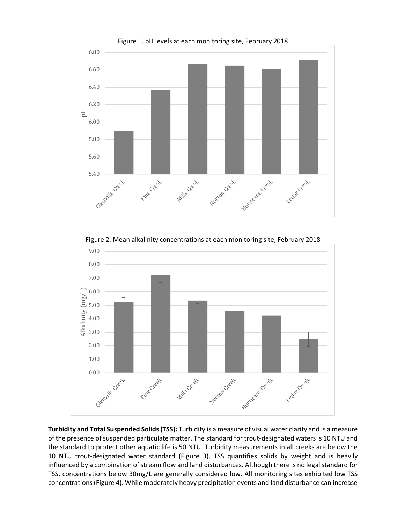

Figure 2. Mean alkalinity concentrations at each monitoring site, February 2018



**Turbidity and Total Suspended Solids(TSS):** Turbidity is a measure of visual water clarity and is a measure of the presence of suspended particulate matter. The standard for trout-designated waters is 10 NTU and the standard to protect other aquatic life is 50 NTU. Turbidity measurements in all creeks are below the 10 NTU trout-designated water standard (Figure 3). TSS quantifies solids by weight and is heavily influenced by a combination of stream flow and land disturbances. Although there is no legal standard for TSS, concentrations below 30mg/L are generally considered low. All monitoring sites exhibited low TSS concentrations (Figure 4). While moderately heavy precipitation events and land disturbance can increase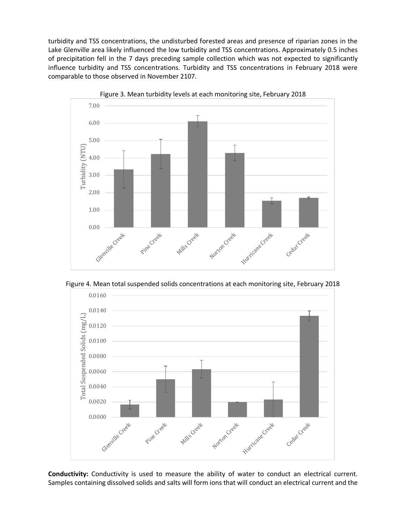turbidity and TSS concentrations, the undisturbed forested areas and presence of riparian zones in the Lake Glenville area likely influenced the low turbidity and TSS concentrations. Approximately 0.5 inches of precipitation fell in the 7 days preceding sample collection which was not expected to significantly influence turbidity and TSS concentrations. Turbidity and TSS concentrations in February 2018 were comparable to those observed in November 2107.



Figure 3. Mean turbidity levels at each monitoring site, February 2018

Figure 4. Mean total suspended solids concentrations at each monitoring site, February 2018



**Conductivity:** Conductivity is used to measure the ability of water to conduct an electrical current. Samples containing dissolved solids and salts will form ions that will conduct an electrical current and the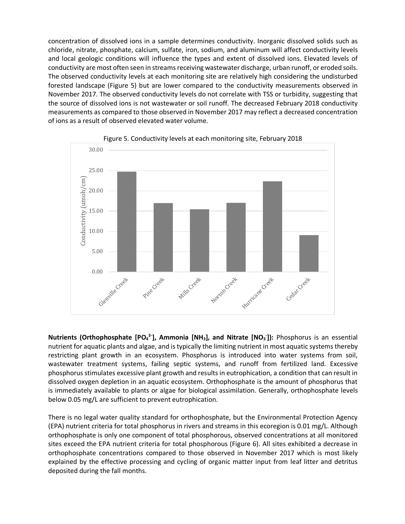concentration of dissolved ions in a sample determines conductivity. Inorganic dissolved solids such as chloride, nitrate, phosphate, calcium, sulfate, iron, sodium, and aluminum will affect conductivity levels and local geologic conditions will influence the types and extent of dissolved ions. Elevated levels of conductivity are most often seen in streams receiving wastewater discharge, urban runoff, or eroded soils. The observed conductivity levels at each monitoring site are relatively high considering the undisturbed forested landscape (Figure 5) but are lower compared to the conductivity measurements observed in November 2017. The observed conductivity levels do not correlate with TSS or turbidity, suggesting that the source of dissolved ions is not wastewater or soil runoff. The decreased February 2018 conductivity measurements as compared to those observed in November 2017 may reflect a decreased concentration of ions as a result of observed elevated water volume.



Figure 5. Conductivity levels at each monitoring site, February 2018

**Nutrients (Orthophosphate [PO<sub>4</sub><sup>3-</sup>], Ammonia [NH<sub>3</sub>], and Nitrate [NO<sub>3</sub>]): Phosphorus is an essential** nutrient for aquatic plants and algae, and is typically the limiting nutrient in most aquatic systems thereby restricting plant growth in an ecosystem. Phosphorus is introduced into water systems from soil, wastewater treatment systems, failing septic systems, and runoff from fertilized land. Excessive phosphorus stimulates excessive plant growth and results in eutrophication, a condition that can result in dissolved oxygen depletion in an aquatic ecosystem. Orthophosphate is the amount of phosphorus that is immediately available to plants or algae for biological assimilation. Generally, orthophosphate levels below 0.05 mg/L are sufficient to prevent eutrophication.

There is no legal water quality standard for orthophosphate, but the Environmental Protection Agency (EPA) nutrient criteria for total phosphorus in rivers and streams in this ecoregion is 0.01 mg/L. Although orthophosphate is only one component of total phosphorous, observed concentrations at all monitored sites exceed the EPA nutrient criteria for total phosphorous (Figure 6). All sites exhibited a decrease in orthophosphate concentrations compared to those observed in November 2017 which is most likely explained by the effective processing and cycling of organic matter input from leaf litter and detritus deposited during the fall months.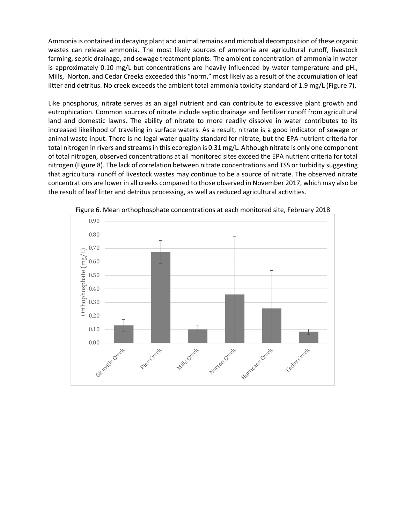Ammonia is contained in decaying plant and animal remains and microbial decomposition of these organic wastes can release ammonia. The most likely sources of ammonia are agricultural runoff, livestock farming, septic drainage, and sewage treatment plants. The ambient concentration of ammonia in water is approximately 0.10 mg/L but concentrations are heavily influenced by water temperature and pH., Mills, Norton, and Cedar Creeks exceeded this "norm," most likely as a result of the accumulation of leaf litter and detritus. No creek exceeds the ambient total ammonia toxicity standard of 1.9 mg/L (Figure 7).

Like phosphorus, nitrate serves as an algal nutrient and can contribute to excessive plant growth and eutrophication. Common sources of nitrate include septic drainage and fertilizer runoff from agricultural land and domestic lawns. The ability of nitrate to more readily dissolve in water contributes to its increased likelihood of traveling in surface waters. As a result, nitrate is a good indicator of sewage or animal waste input. There is no legal water quality standard for nitrate, but the EPA nutrient criteria for total nitrogen in rivers and streams in this ecoregion is 0.31 mg/L. Although nitrate is only one component of total nitrogen, observed concentrations at all monitored sites exceed the EPA nutrient criteria for total nitrogen (Figure 8). The lack of correlation between nitrate concentrations and TSS or turbidity suggesting that agricultural runoff of livestock wastes may continue to be a source of nitrate. The observed nitrate concentrations are lower in all creeks compared to those observed in November 2017, which may also be the result of leaf litter and detritus processing, as well as reduced agricultural activities.



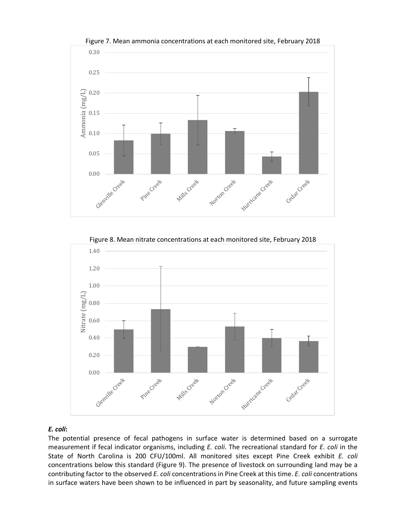

Figure 7. Mean ammonia concentrations at each monitored site, February 2018

Figure 8. Mean nitrate concentrations at each monitored site, February 2018



# *E. coli***:**

The potential presence of fecal pathogens in surface water is determined based on a surrogate measurement if fecal indicator organisms, including *E. coli*. The recreational standard for *E. coli* in the State of North Carolina is 200 CFU/100ml. All monitored sites except Pine Creek exhibit *E. coli*  concentrations below this standard (Figure 9). The presence of livestock on surrounding land may be a contributing factor to the observed *E. coli* concentrations in Pine Creek at this time. *E. coli* concentrations in surface waters have been shown to be influenced in part by seasonality, and future sampling events